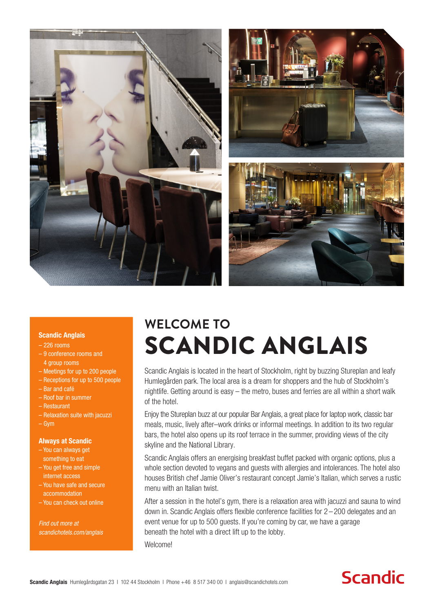

#### Scandic Anglais

- 226 rooms
- 9 conference rooms and 4 group rooms
- Meetings for up to 200 people
- Receptions for up to 500 people
- Bar and café
- Roof bar in summer
- Restaurant
- Relaxation suite with jacuzzi
- Gym

### Always at Scandic

- You can always get something to eat
- You get free and simple internet access
- You have safe and secure accommodation
- You can check out online

*Find out more at scandichotels.com/anglais*

# **WELCOME TO** SCANDIC ANGLAIS

Scandic Anglais is located in the heart of Stockholm, right by buzzing Stureplan and leafy Humlegården park. The local area is a dream for shoppers and the hub of Stockholm's nightlife. Getting around is easy – the metro, buses and ferries are all within a short walk of the hotel.

Enjoy the Stureplan buzz at our popular Bar Anglais, a great place for laptop work, classic bar meals, music, lively after–work drinks or informal meetings. In addition to its two regular bars, the hotel also opens up its roof terrace in the summer, providing views of the city skyline and the National Library.

Scandic Anglais offers an energising breakfast buffet packed with organic options, plus a whole section devoted to vegans and quests with allergies and intolerances. The hotel also houses British chef Jamie Oliver's restaurant concept Jamie's Italian, which serves a rustic menu with an Italian twist.

After a session in the hotel's gym, there is a relaxation area with jacuzzi and sauna to wind down in. Scandic Anglais offers flexible conference facilities for 2 – 200 delegates and an event venue for up to 500 guests. If you're coming by car, we have a garage beneath the hotel with a direct lift up to the lobby.

Welcome!

## **Scandic**